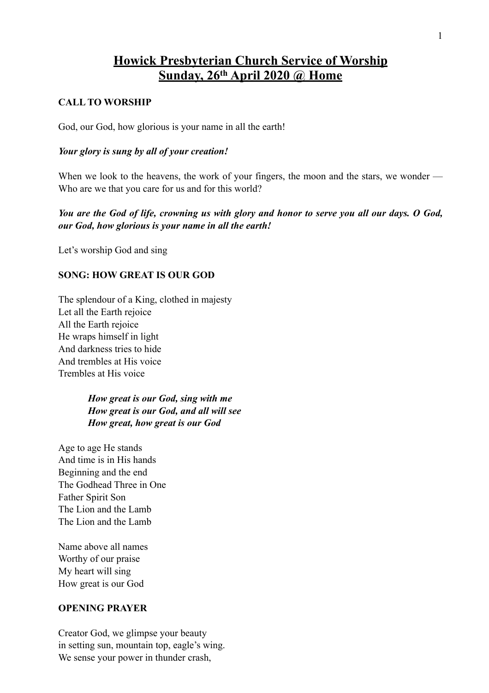# **Howick Presbyterian Church Service of Worship Sunday, 26th April 2020 @ Home**

# **CALL TO WORSHIP**

God, our God, how glorious is your name in all the earth!

#### *Your glory is sung by all of your creation!*

When we look to the heavens, the work of your fingers, the moon and the stars, we wonder — Who are we that you care for us and for this world?

*You are the God of life, crowning us with glory and honor to serve you all our days. O God, our God, how glorious is your name in all the earth!*

Let's worship God and sing

## **SONG: HOW GREAT IS OUR GOD**

The splendour of a King, clothed in majesty Let all the Earth rejoice All the Earth rejoice He wraps himself in light And darkness tries to hide And trembles at His voice Trembles at His voice

# *How great is our God, sing with me How great is our God, and all will see How great, how great is our God*

Age to age He stands And time is in His hands Beginning and the end The Godhead Three in One Father Spirit Son The Lion and the Lamb The Lion and the Lamb

Name above all names Worthy of our praise My heart will sing How great is our God

# **OPENING PRAYER**

Creator God, we glimpse your beauty in setting sun, mountain top, eagle's wing. We sense your power in thunder crash,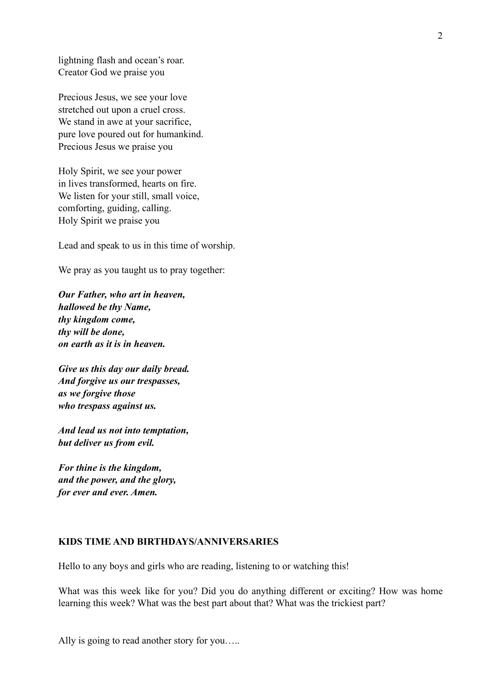lightning flash and ocean's roar. Creator God we praise you

Precious Jesus, we see your love stretched out upon a cruel cross. We stand in awe at your sacrifice, pure love poured out for humankind. Precious Jesus we praise you

Holy Spirit, we see your power in lives transformed, hearts on fire. We listen for your still, small voice, comforting, guiding, calling. Holy Spirit we praise you

Lead and speak to us in this time of worship.

We pray as you taught us to pray together:

*Our Father, who art in heaven, hallowed be thy Name, thy kingdom come, thy will be done, on earth as it is in heaven.* 

*Give us this day our daily bread. And forgive us our trespasses, as we forgive those who trespass against us.* 

*And lead us not into temptation, but deliver us from evil.* 

*For thine is the kingdom, and the power, and the glory, for ever and ever. Amen.*

#### **KIDS TIME AND BIRTHDAYS/ANNIVERSARIES**

Hello to any boys and girls who are reading, listening to or watching this!

What was this week like for you? Did you do anything different or exciting? How was home learning this week? What was the best part about that? What was the trickiest part?

Ally is going to read another story for you…..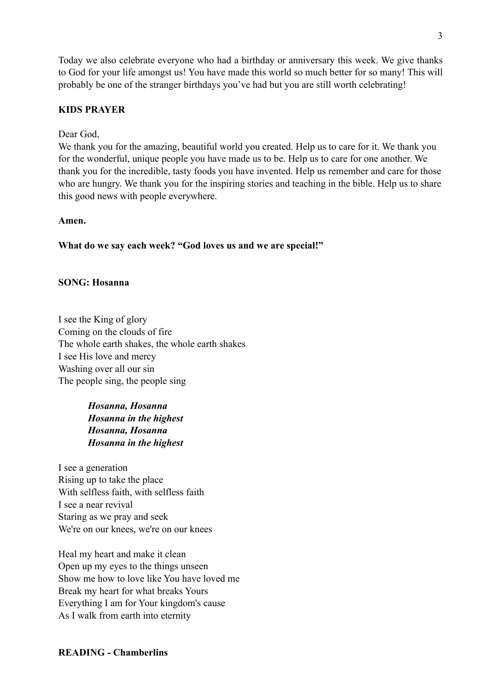Today we also celebrate everyone who had a birthday or anniversary this week. We give thanks to God for your life amongst us! You have made this world so much better for so many! This will probably be one of the stranger birthdays you've had but you are still worth celebrating!

## **KIDS PRAYER**

#### Dear God,

We thank you for the amazing, beautiful world you created. Help us to care for it. We thank you for the wonderful, unique people you have made us to be. Help us to care for one another. We thank you for the incredible, tasty foods you have invented. Help us remember and care for those who are hungry. We thank you for the inspiring stories and teaching in the bible. Help us to share this good news with people everywhere.

#### **Amen.**

**What do we say each week? "God loves us and we are special!"**

#### **SONG: Hosanna**

I see the King of glory Coming on the clouds of fire The whole earth shakes, the whole earth shakes I see His love and mercy Washing over all our sin The people sing, the people sing

> *Hosanna, Hosanna Hosanna in the highest Hosanna, Hosanna Hosanna in the highest*

I see a generation Rising up to take the place With selfless faith, with selfless faith I see a near revival Staring as we pray and seek We're on our knees, we're on our knees

Heal my heart and make it clean Open up my eyes to the things unseen Show me how to love like You have loved me Break my heart for what breaks Yours Everything I am for Your kingdom's cause As I walk from earth into eternity

# **READING - Chamberlins**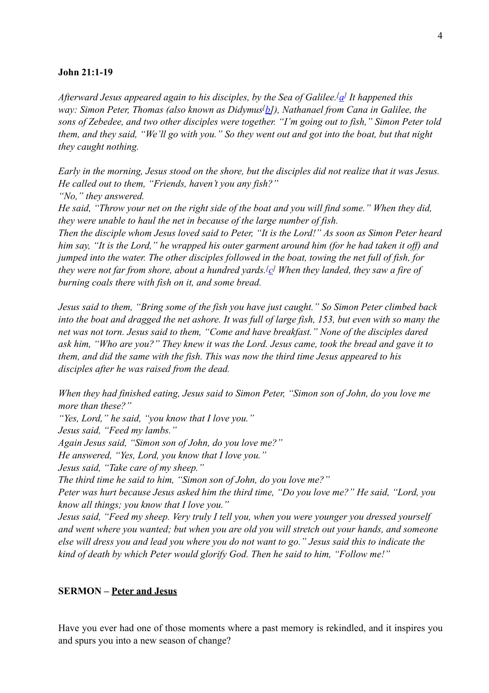#### **John 21:1-19**

Afterward Jesus appeared again to his disciples, by the Sea of Galilee.<sup>[</sup>[a\]](https://www.biblegateway.com/passage/?search=John+21%253A1-19+++++&version=NIV#fen-NIV-26900a) It happened this way: Simon Peter, Thomas (also known as Didymus<sup>[</sup>[b\]](https://www.biblegateway.com/passage/?search=John+21%253A1-19+++++&version=NIV#fen-NIV-26901b)), Nathanael from Cana in Galilee, the *sons of Zebedee, and two other disciples were together. "I'm going out to fish," Simon Peter told them, and they said, "We'll go with you." So they went out and got into the boat, but that night they caught nothing.*

*Early in the morning, Jesus stood on the shore, but the disciples did not realize that it was Jesus. He called out to them, "Friends, haven't you any fish?"* 

*"No," they answered.* 

*He said, "Throw your net on the right side of the boat and you will find some." When they did, they were unable to haul the net in because of the large number of fish.* 

*Then the disciple whom Jesus loved said to Peter, "It is the Lord!" As soon as Simon Peter heard him say, "It is the Lord," he wrapped his outer garment around him (for he had taken it off) and jumped into the water. The other disciples followed in the boat, towing the net full of fish, for they were not far from shore, about a hundred yards.[ [c](https://www.biblegateway.com/passage/?search=John+21%253A1-19+++++&version=NIV#fen-NIV-26907c)] When they landed, they saw a fire of burning coals there with fish on it, and some bread.* 

*Jesus said to them, "Bring some of the fish you have just caught." So Simon Peter climbed back into the boat and dragged the net ashore. It was full of large fish, 153, but even with so many the net was not torn. Jesus said to them, "Come and have breakfast." None of the disciples dared ask him, "Who are you?" They knew it was the Lord. Jesus came, took the bread and gave it to them, and did the same with the fish. This was now the third time Jesus appeared to his disciples after he was raised from the dead.* 

*When they had finished eating, Jesus said to Simon Peter, "Simon son of John, do you love me more than these?"* 

*"Yes, Lord," he said, "you know that I love you."* 

*Jesus said, "Feed my lambs."* 

*Again Jesus said, "Simon son of John, do you love me?"* 

*He answered, "Yes, Lord, you know that I love you."* 

*Jesus said, "Take care of my sheep."* 

*The third time he said to him, "Simon son of John, do you love me?"* 

*Peter was hurt because Jesus asked him the third time, "Do you love me?" He said, "Lord, you know all things; you know that I love you."* 

*Jesus said, "Feed my sheep. Very truly I tell you, when you were younger you dressed yourself and went where you wanted; but when you are old you will stretch out your hands, and someone else will dress you and lead you where you do not want to go." Jesus said this to indicate the kind of death by which Peter would glorify God. Then he said to him, "Follow me!"* 

#### **SERMON – Peter and Jesus**

Have you ever had one of those moments where a past memory is rekindled, and it inspires you and spurs you into a new season of change?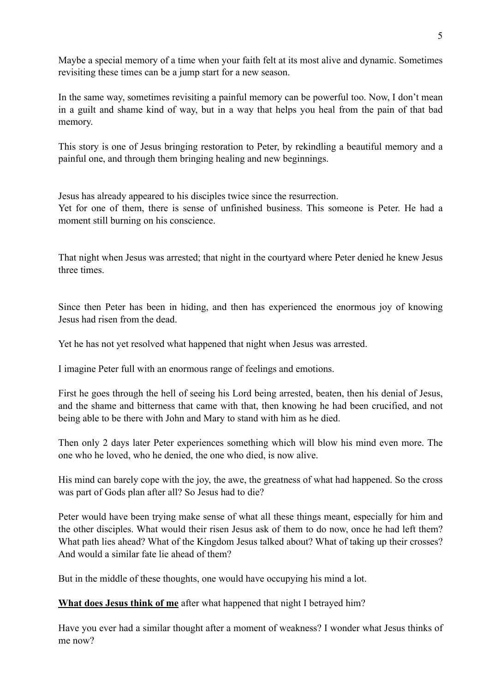Maybe a special memory of a time when your faith felt at its most alive and dynamic. Sometimes revisiting these times can be a jump start for a new season.

In the same way, sometimes revisiting a painful memory can be powerful too. Now, I don't mean in a guilt and shame kind of way, but in a way that helps you heal from the pain of that bad memory.

This story is one of Jesus bringing restoration to Peter, by rekindling a beautiful memory and a painful one, and through them bringing healing and new beginnings.

Jesus has already appeared to his disciples twice since the resurrection. Yet for one of them, there is sense of unfinished business. This someone is Peter. He had a moment still burning on his conscience.

That night when Jesus was arrested; that night in the courtyard where Peter denied he knew Jesus three times.

Since then Peter has been in hiding, and then has experienced the enormous joy of knowing Jesus had risen from the dead.

Yet he has not yet resolved what happened that night when Jesus was arrested.

I imagine Peter full with an enormous range of feelings and emotions.

First he goes through the hell of seeing his Lord being arrested, beaten, then his denial of Jesus, and the shame and bitterness that came with that, then knowing he had been crucified, and not being able to be there with John and Mary to stand with him as he died.

Then only 2 days later Peter experiences something which will blow his mind even more. The one who he loved, who he denied, the one who died, is now alive.

His mind can barely cope with the joy, the awe, the greatness of what had happened. So the cross was part of Gods plan after all? So Jesus had to die?

Peter would have been trying make sense of what all these things meant, especially for him and the other disciples. What would their risen Jesus ask of them to do now, once he had left them? What path lies ahead? What of the Kingdom Jesus talked about? What of taking up their crosses? And would a similar fate lie ahead of them?

But in the middle of these thoughts, one would have occupying his mind a lot.

**What does Jesus think of me** after what happened that night I betrayed him?

Have you ever had a similar thought after a moment of weakness? I wonder what Jesus thinks of me now?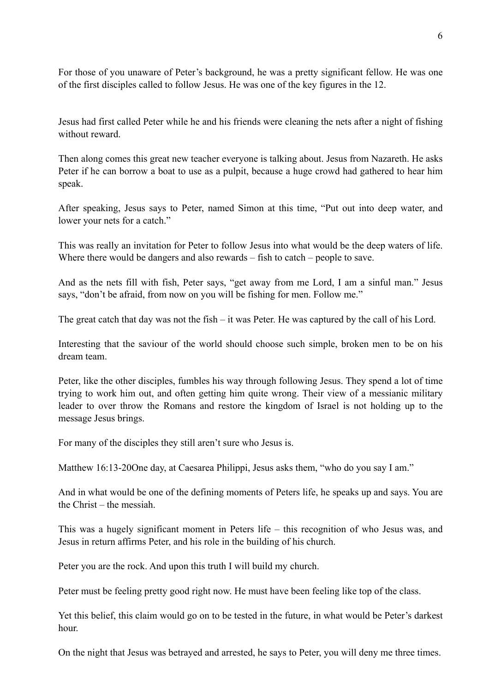For those of you unaware of Peter's background, he was a pretty significant fellow. He was one of the first disciples called to follow Jesus. He was one of the key figures in the 12.

Jesus had first called Peter while he and his friends were cleaning the nets after a night of fishing without reward.

Then along comes this great new teacher everyone is talking about. Jesus from Nazareth. He asks Peter if he can borrow a boat to use as a pulpit, because a huge crowd had gathered to hear him speak.

After speaking, Jesus says to Peter, named Simon at this time, "Put out into deep water, and lower your nets for a catch."

This was really an invitation for Peter to follow Jesus into what would be the deep waters of life. Where there would be dangers and also rewards – fish to catch – people to save.

And as the nets fill with fish, Peter says, "get away from me Lord, I am a sinful man." Jesus says, "don't be afraid, from now on you will be fishing for men. Follow me."

The great catch that day was not the fish – it was Peter. He was captured by the call of his Lord.

Interesting that the saviour of the world should choose such simple, broken men to be on his dream team.

Peter, like the other disciples, fumbles his way through following Jesus. They spend a lot of time trying to work him out, and often getting him quite wrong. Their view of a messianic military leader to over throw the Romans and restore the kingdom of Israel is not holding up to the message Jesus brings.

For many of the disciples they still aren't sure who Jesus is.

Matthew 16:13-20One day, at Caesarea Philippi, Jesus asks them, "who do you say I am."

And in what would be one of the defining moments of Peters life, he speaks up and says. You are the Christ – the messiah.

This was a hugely significant moment in Peters life – this recognition of who Jesus was, and Jesus in return affirms Peter, and his role in the building of his church.

Peter you are the rock. And upon this truth I will build my church.

Peter must be feeling pretty good right now. He must have been feeling like top of the class.

Yet this belief, this claim would go on to be tested in the future, in what would be Peter's darkest hour.

On the night that Jesus was betrayed and arrested, he says to Peter, you will deny me three times.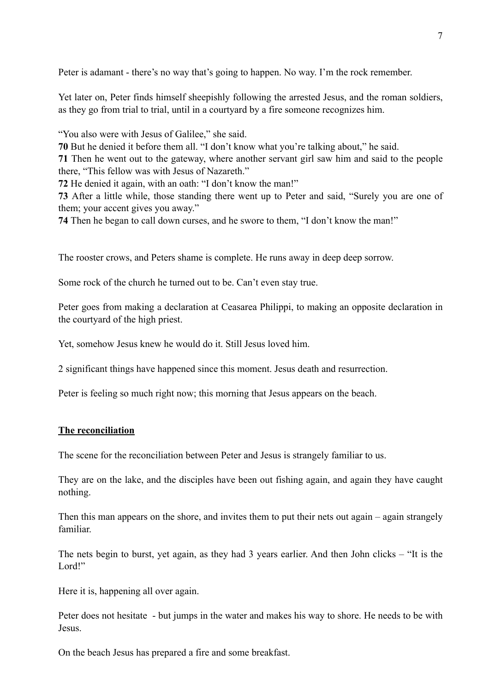Peter is adamant - there's no way that's going to happen. No way. I'm the rock remember.

Yet later on, Peter finds himself sheepishly following the arrested Jesus, and the roman soldiers, as they go from trial to trial, until in a courtyard by a fire someone recognizes him.

"You also were with Jesus of Galilee," she said.

**70** But he denied it before them all. "I don't know what you're talking about," he said.

**71** Then he went out to the gateway, where another servant girl saw him and said to the people there, "This fellow was with Jesus of Nazareth."

**72** He denied it again, with an oath: "I don't know the man!"

**73** After a little while, those standing there went up to Peter and said, "Surely you are one of them; your accent gives you away."

**74** Then he began to call down curses, and he swore to them, "I don't know the man!"

The rooster crows, and Peters shame is complete. He runs away in deep deep sorrow.

Some rock of the church he turned out to be. Can't even stay true.

Peter goes from making a declaration at Ceasarea Philippi, to making an opposite declaration in the courtyard of the high priest.

Yet, somehow Jesus knew he would do it. Still Jesus loved him.

2 significant things have happened since this moment. Jesus death and resurrection.

Peter is feeling so much right now; this morning that Jesus appears on the beach.

# **The reconciliation**

The scene for the reconciliation between Peter and Jesus is strangely familiar to us.

They are on the lake, and the disciples have been out fishing again, and again they have caught nothing.

Then this man appears on the shore, and invites them to put their nets out again – again strangely familiar.

The nets begin to burst, yet again, as they had 3 years earlier. And then John clicks – "It is the Lord!"

Here it is, happening all over again.

Peter does not hesitate - but jumps in the water and makes his way to shore. He needs to be with Jesus.

On the beach Jesus has prepared a fire and some breakfast.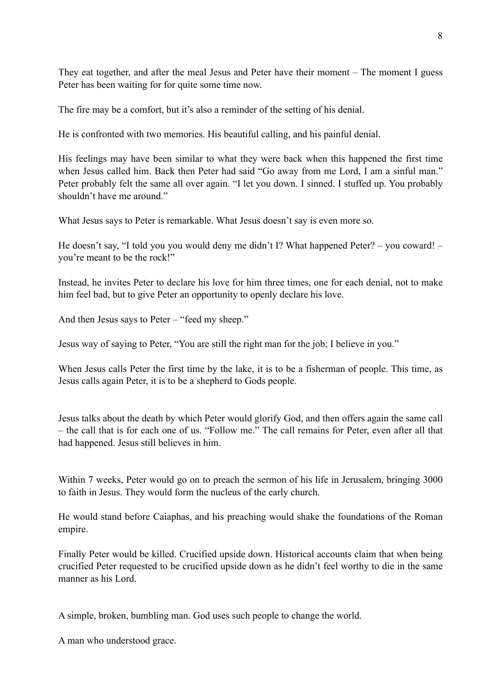They eat together, and after the meal Jesus and Peter have their moment – The moment I guess Peter has been waiting for for quite some time now.

The fire may be a comfort, but it's also a reminder of the setting of his denial.

He is confronted with two memories. His beautiful calling, and his painful denial.

His feelings may have been similar to what they were back when this happened the first time when Jesus called him. Back then Peter had said "Go away from me Lord, I am a sinful man." Peter probably felt the same all over again. "I let you down. I sinned. I stuffed up. You probably shouldn't have me around."

What Jesus says to Peter is remarkable. What Jesus doesn't say is even more so.

He doesn't say, "I told you you would deny me didn't I? What happened Peter? – you coward! – you're meant to be the rock!"

Instead, he invites Peter to declare his love for him three times, one for each denial, not to make him feel bad, but to give Peter an opportunity to openly declare his love.

And then Jesus says to Peter – "feed my sheep."

Jesus way of saying to Peter, "You are still the right man for the job; I believe in you."

When Jesus calls Peter the first time by the lake, it is to be a fisherman of people. This time, as Jesus calls again Peter, it is to be a shepherd to Gods people.

Jesus talks about the death by which Peter would glorify God, and then offers again the same call – the call that is for each one of us. "Follow me." The call remains for Peter, even after all that had happened. Jesus still believes in him.

Within 7 weeks, Peter would go on to preach the sermon of his life in Jerusalem, bringing 3000 to faith in Jesus. They would form the nucleus of the early church.

He would stand before Caiaphas, and his preaching would shake the foundations of the Roman empire.

Finally Peter would be killed. Crucified upside down. Historical accounts claim that when being crucified Peter requested to be crucified upside down as he didn't feel worthy to die in the same manner as his Lord.

A simple, broken, bumbling man. God uses such people to change the world.

A man who understood grace.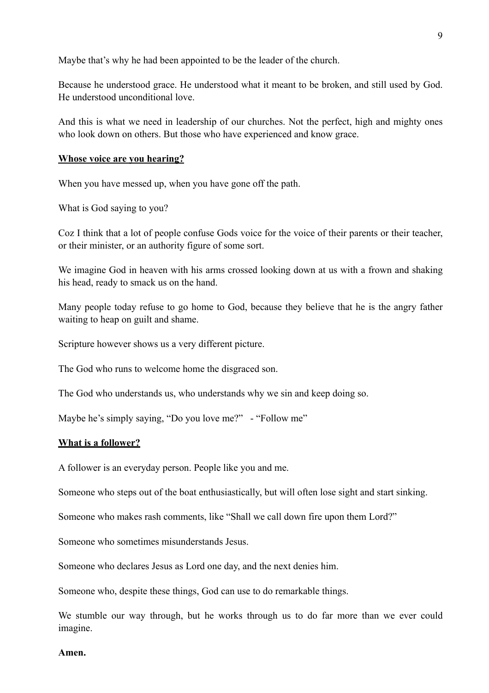Maybe that's why he had been appointed to be the leader of the church.

Because he understood grace. He understood what it meant to be broken, and still used by God. He understood unconditional love.

And this is what we need in leadership of our churches. Not the perfect, high and mighty ones who look down on others. But those who have experienced and know grace.

#### **Whose voice are you hearing?**

When you have messed up, when you have gone off the path.

What is God saying to you?

Coz I think that a lot of people confuse Gods voice for the voice of their parents or their teacher, or their minister, or an authority figure of some sort.

We imagine God in heaven with his arms crossed looking down at us with a frown and shaking his head, ready to smack us on the hand.

Many people today refuse to go home to God, because they believe that he is the angry father waiting to heap on guilt and shame.

Scripture however shows us a very different picture.

The God who runs to welcome home the disgraced son.

The God who understands us, who understands why we sin and keep doing so.

Maybe he's simply saying, "Do you love me?" - "Follow me"

#### **What is a follower?**

A follower is an everyday person. People like you and me.

Someone who steps out of the boat enthusiastically, but will often lose sight and start sinking.

Someone who makes rash comments, like "Shall we call down fire upon them Lord?"

Someone who sometimes misunderstands Jesus.

Someone who declares Jesus as Lord one day, and the next denies him.

Someone who, despite these things, God can use to do remarkable things.

We stumble our way through, but he works through us to do far more than we ever could imagine.

#### **Amen.**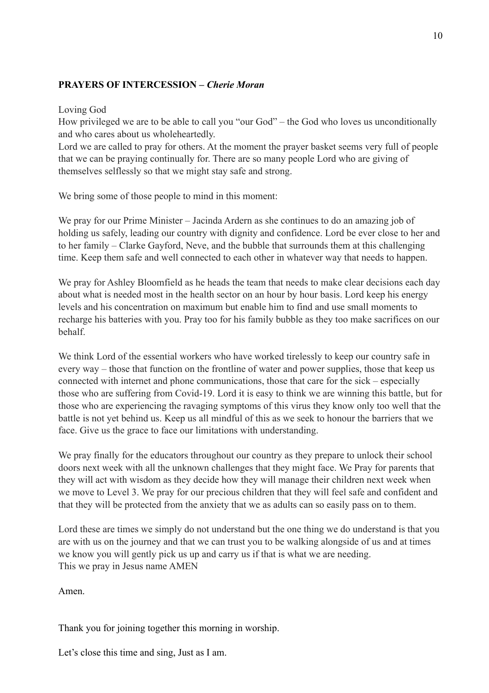# **PRAYERS OF INTERCESSION –** *Cherie Moran*

Loving God

How privileged we are to be able to call you "our God" – the God who loves us unconditionally and who cares about us wholeheartedly.

Lord we are called to pray for others. At the moment the prayer basket seems very full of people that we can be praying continually for. There are so many people Lord who are giving of themselves selflessly so that we might stay safe and strong.

We bring some of those people to mind in this moment:

We pray for our Prime Minister – Jacinda Ardern as she continues to do an amazing job of holding us safely, leading our country with dignity and confidence. Lord be ever close to her and to her family – Clarke Gayford, Neve, and the bubble that surrounds them at this challenging time. Keep them safe and well connected to each other in whatever way that needs to happen.

We pray for Ashley Bloomfield as he heads the team that needs to make clear decisions each day about what is needed most in the health sector on an hour by hour basis. Lord keep his energy levels and his concentration on maximum but enable him to find and use small moments to recharge his batteries with you. Pray too for his family bubble as they too make sacrifices on our behalf.

We think Lord of the essential workers who have worked tirelessly to keep our country safe in every way – those that function on the frontline of water and power supplies, those that keep us connected with internet and phone communications, those that care for the sick – especially those who are suffering from Covid-19. Lord it is easy to think we are winning this battle, but for those who are experiencing the ravaging symptoms of this virus they know only too well that the battle is not yet behind us. Keep us all mindful of this as we seek to honour the barriers that we face. Give us the grace to face our limitations with understanding.

We pray finally for the educators throughout our country as they prepare to unlock their school doors next week with all the unknown challenges that they might face. We Pray for parents that they will act with wisdom as they decide how they will manage their children next week when we move to Level 3. We pray for our precious children that they will feel safe and confident and that they will be protected from the anxiety that we as adults can so easily pass on to them.

Lord these are times we simply do not understand but the one thing we do understand is that you are with us on the journey and that we can trust you to be walking alongside of us and at times we know you will gently pick us up and carry us if that is what we are needing. This we pray in Jesus name AMEN

Amen.

Thank you for joining together this morning in worship.

Let's close this time and sing, Just as I am.